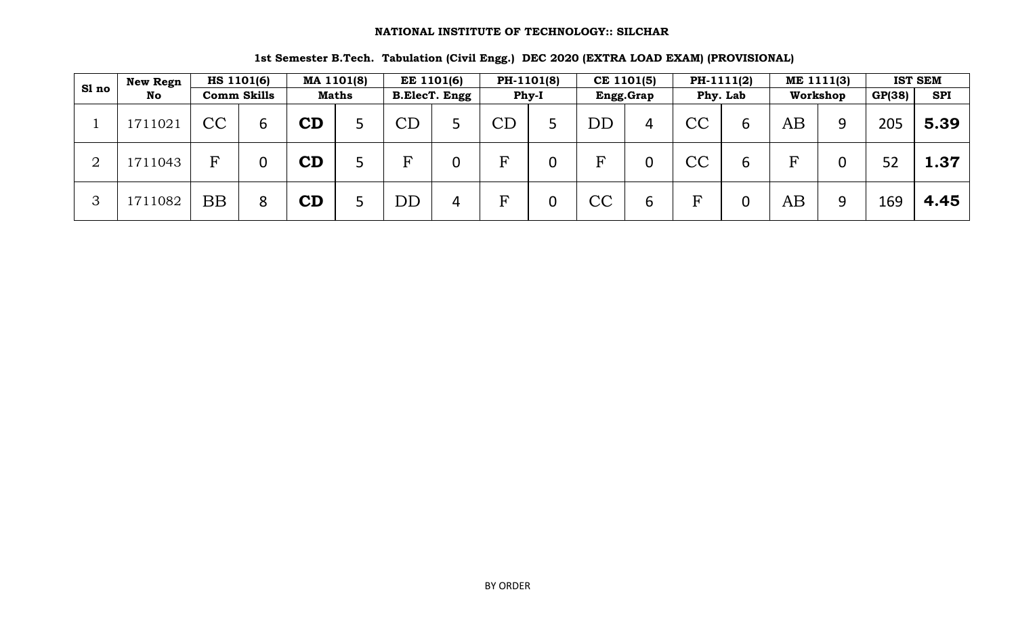|              | New Regn |    | <b>HS 1101(6)</b>  |            | MA 1101(8)   |                           | <b>EE 1101(6)</b> |                     | PH-1101(8) |           | CE 1101(5) |                        | PH-1111(2) |          | ME 1111(3)       |        | <b>IST SEM</b> |
|--------------|----------|----|--------------------|------------|--------------|---------------------------|-------------------|---------------------|------------|-----------|------------|------------------------|------------|----------|------------------|--------|----------------|
| Sl no        | No       |    | <b>Comm Skills</b> |            | <b>Maths</b> |                           | B.ElecT. Engg     |                     | Phy-I      |           | Engg.Grap  |                        | Phy. Lab   |          | Workshop         | GP(38) | <b>SPI</b>     |
|              | 1711021  | CC | 6                  | ${\bf CD}$ |              | CD                        |                   | $\operatorname{CD}$ |            | $\rm{DD}$ | 4          | $\overline{\text{CC}}$ | 6          | $\rm AB$ | 9                | 205    | 5.39           |
| ∩            | 1711043  | F  |                    | CD         |              | $\boldsymbol{\mathrm{E}}$ |                   | F                   | ∩          | F         | 0          | $\overline{\text{CC}}$ | 6          | F        | $\boldsymbol{0}$ | 52     | 1.37           |
| $\mathbf{z}$ | 1711082  | BB | 8                  | CD         |              | DD                        | 4                 | F                   |            | CC        | ∼<br>ь     | F                      | 0          | $\rm AB$ | 9                | 169    | 4.45           |

#### **1st Semester B.Tech. Tabulation (Civil Engg.) DEC 2020 (EXTRA LOAD EXAM) (PROVISIONAL)**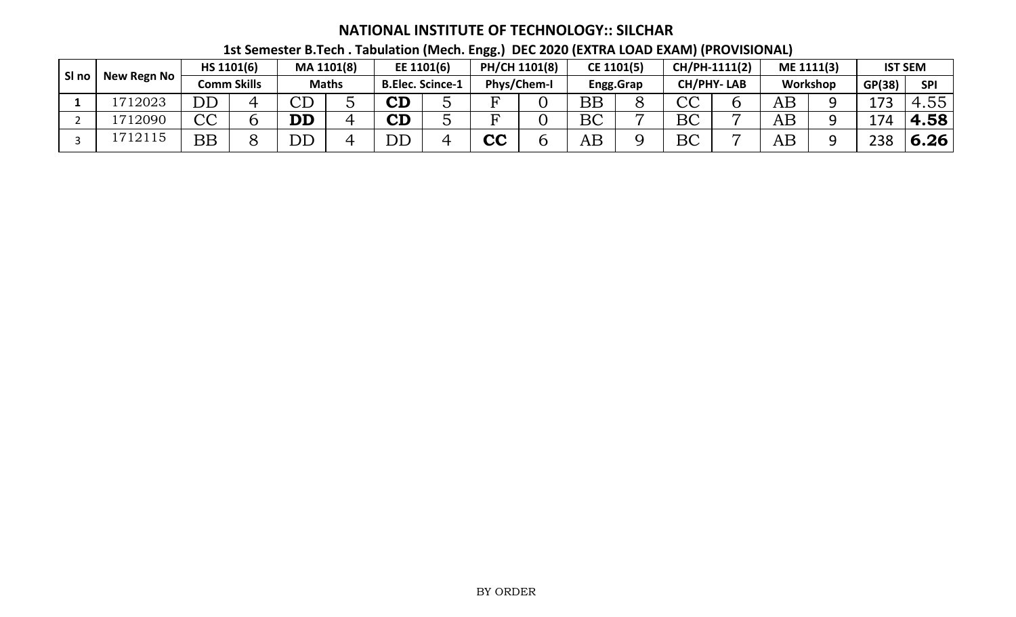| SI no |             |                          | HS 1101(6)  |                        | MA 1101(8)   |                         | EE 1101(6) | PH/CH 1101(8) |             |          | CE 1101(5) |              | CH/PH-1111(2)     |          | ME 1111(3) |        | <b>IST SEM</b> |
|-------|-------------|--------------------------|-------------|------------------------|--------------|-------------------------|------------|---------------|-------------|----------|------------|--------------|-------------------|----------|------------|--------|----------------|
|       | New Regn No |                          | Comm Skills |                        | <b>Maths</b> | <b>B.Elec. Scince-1</b> |            |               | Phys/Chem-I |          | Engg.Grap  |              | <b>CH/PHY-LAB</b> |          | Workshop   | GP(38) | <b>SPI</b>     |
|       | 1712023     | DD                       |             | $\cap$ $\cap$<br>◡╜    |              | $\mathbf C\mathbf D$    |            | ᠇             |             | BB       |            | $\cap$<br>しし |                   | $\rm AB$ | Ω          | ר ו    | <b>t.55</b>    |
|       | 12090       | $\cap$<br>〜〜             |             | $\mathbf{D}\mathbf{D}$ |              | $\mathbf C\mathbf D$    |            |               |             | BC       | −          | BC           |                   | $\rm AB$ | Ω          | 71     | 4.58           |
|       | 712115      | $\overline{\mathrm{BB}}$ |             | $\overline{\rm DD}$    |              | ${\rm DD}$              |            | <b>CC</b>     |             | $\rm AB$ |            | BC           |                   | AB       |            | 238    | 6.26           |

## **1st Semester B.Tech . Tabulation (Mech. Engg.) DEC 2020 (EXTRA LOAD EXAM) (PROVISIONAL)**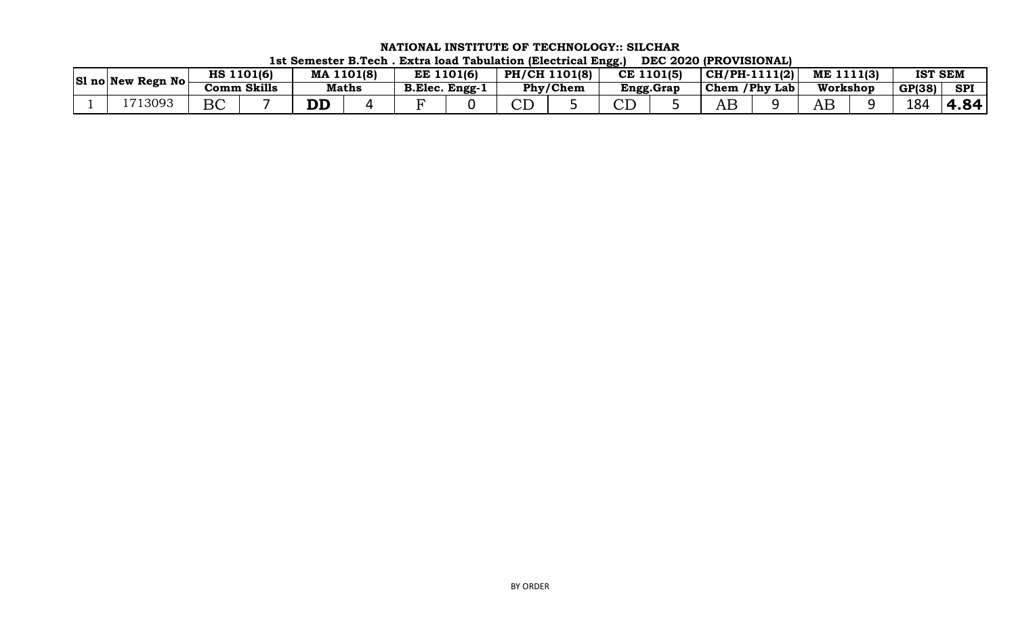| $ \text{SI}$ no New Regn No | <b>HS</b> | 1101(6)     | MA           | 1101(8) | EE             | 1101(6) | PH/CH 1101(8) |          | CE 1101(5) | $ CH/PH-1111(2) $ |             | ME 1111(3) | <b>IST SEM</b> |            |
|-----------------------------|-----------|-------------|--------------|---------|----------------|---------|---------------|----------|------------|-------------------|-------------|------------|----------------|------------|
|                             |           | Comm Skills | <b>Maths</b> |         | B.Elec. Engg-1 |         |               | Phy/Chem | Engg.Grap  | Chem              | /Phy<br>Lab | Workshop   | GP(38)         | <b>SPI</b> |
| 13093                       | DA<br>DU  |             |              |         |                |         | ◡⊥            |          |            | ٩F                |             | ٩E         | 184            | 84<br>◢    |

**NATIONAL INSTITUTE OF TECHNOLOGY:: SILCHAR 1st Semester B.Tech . Extra load Tabulation (Electrical Engg.) DEC 2020 (PROVISIONAL)**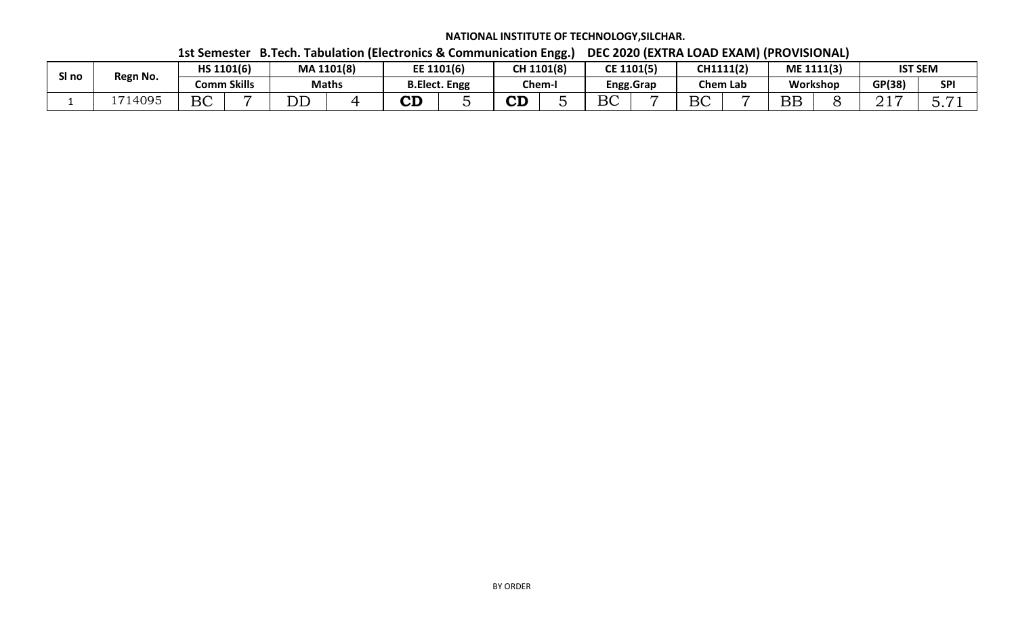|        |          | __________ |             |            |              |                    |                      |                    | oo. |            |           |           | -----           | .                  |          |                           |                |
|--------|----------|------------|-------------|------------|--------------|--------------------|----------------------|--------------------|-----|------------|-----------|-----------|-----------------|--------------------|----------|---------------------------|----------------|
|        |          | HS 1101(6) |             | MA 1101(8) |              | EE 1101(6)         |                      | CH 1101(8)         |     | CE 1101(5) |           | CH1111(2) |                 | ME 1111(3)         |          |                           | <b>IST SEM</b> |
| งิโ ทo | Regn No. |            | Comm Skills |            | <b>Maths</b> |                    | <b>B.Elect. Engg</b> | Chem-              |     |            | Engg.Grap |           | <b>Chem Lab</b> |                    | Workshop | GP(38)                    | <b>SPI</b>     |
|        | 714095   | BC         |             | n n<br>ບມ  |              | $\mathbf{C}$<br>◡╜ |                      | $\mathbf{A}$<br>◡▃ |     | BC         |           | BC        |                 | $\mathbf{D}$<br>DD |          | $\sim$ $\sim$ $\sim$<br>◢ | -              |

 **1st Semester B.Tech. Tabulation (Electronics & Communication Engg.) DEC 2020 (EXTRA LOAD EXAM) (PROVISIONAL)**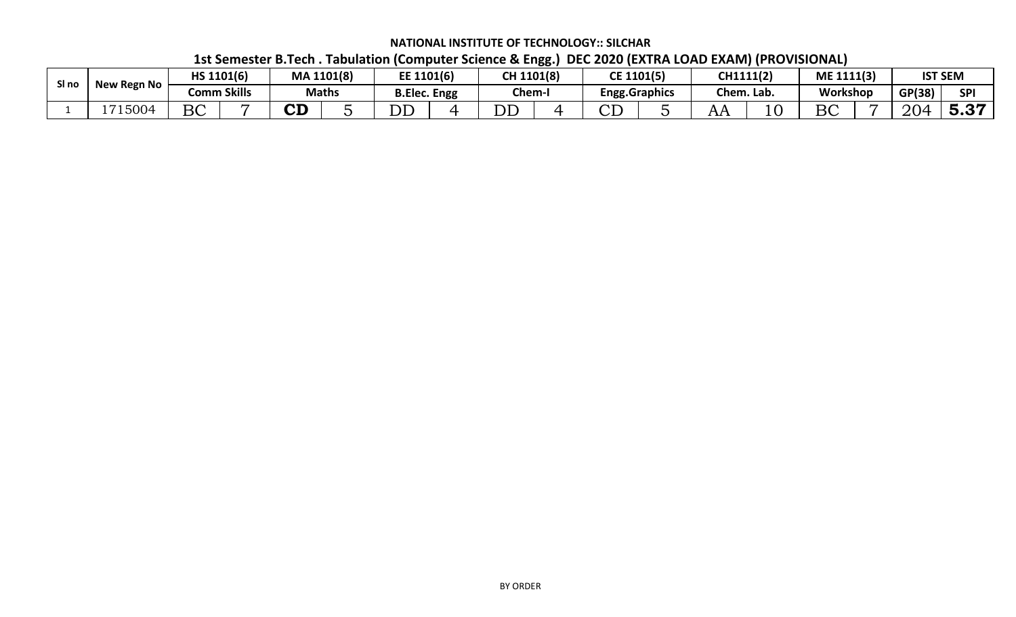|       |                    |            |             |           |              |                      |            | $-$ |                       |                 |            |        |                                   |
|-------|--------------------|------------|-------------|-----------|--------------|----------------------|------------|-----|-----------------------|-----------------|------------|--------|-----------------------------------|
| SI no | <b>New Regn No</b> | HS 1101(6) |             |           | MA 1101(8)   | EE 1101(6)           | CH 1101(8) |     | CE 1101(5)            | <b>CH1111(2</b> | ME 1111(3) |        | <b>IST SEM</b>                    |
|       |                    |            | Comm Skills |           | <b>Maths</b> | <b>B.Elec. Engg</b>  | Chem-I     |     | <b>Engg.Graphics</b>  | Chem. Lab.      | Workshop   | GP(38) | SPI                               |
|       | 1715004            | BC         |             | <b>CD</b> |              | $\overline{\rm{DL}}$ | DĽ         |     | $\cap$ $\Gamma$<br>ىى | $\mathbf{L}$    | DC<br>DU   | 204    | $\mathbf{H}$<br>$\cup$ . $\cup$ . |

### **1st Semester B.Tech . Tabulation (Computer Science & Engg.) DEC 2020 (EXTRA LOAD EXAM) (PROVISIONAL)**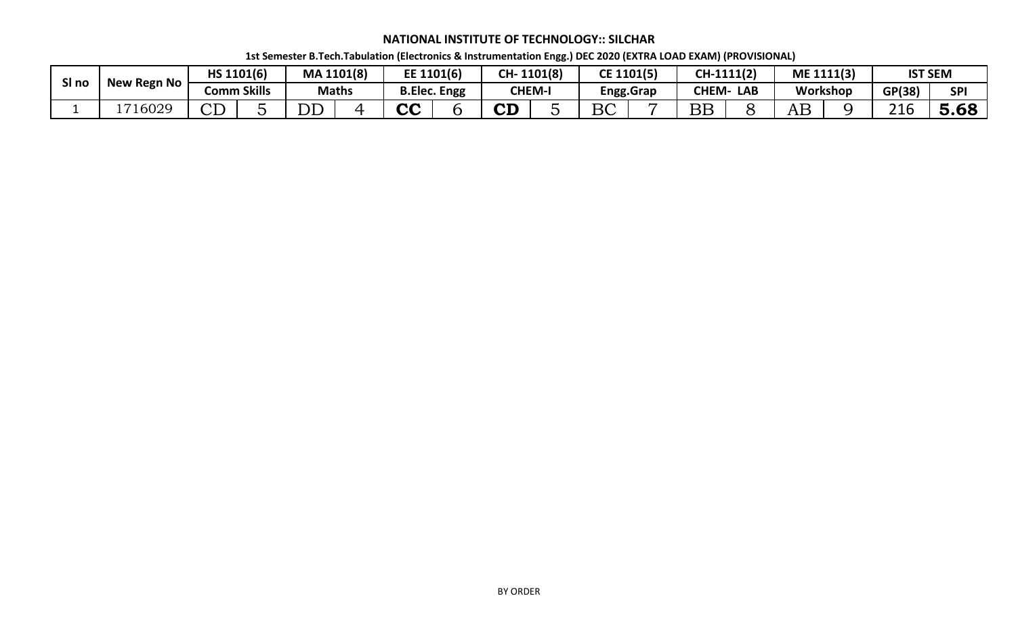| SI no | ' Regn No  |                | HS 1101(6)         | MA 1101(8)               |              | EE 1101(6)          | CH-               | 1101(8)       | CE 1101(5)    |                  | CH-1111(2)   |            |    | ME 1111(3) |              | <b>IST SEM</b> |
|-------|------------|----------------|--------------------|--------------------------|--------------|---------------------|-------------------|---------------|---------------|------------------|--------------|------------|----|------------|--------------|----------------|
|       | <b>New</b> |                | <b>Comm Skills</b> |                          | <b>Maths</b> | <b>B.Elec. Engg</b> |                   | <b>CHEM-I</b> |               | <b>Engg.Grap</b> | <b>CHEM-</b> | <b>LAB</b> |    | Workshop   | GP(38)       | <b>SPI</b>     |
|       | 1716029    | $\cap$ T<br>レエ |                    | $\overline{\mathrm{DD}}$ |              | rη                  | ${\bf C} {\bf D}$ | -             | $D\cap$<br>DU |                  | DD<br>பப     |            | AΒ |            | 216<br>_ _ v | 5.68           |

 **1st Semester B.Tech.Tabulation (Electronics & Instrumentation Engg.) DEC 2020 (EXTRA LOAD EXAM) (PROVISIONAL)**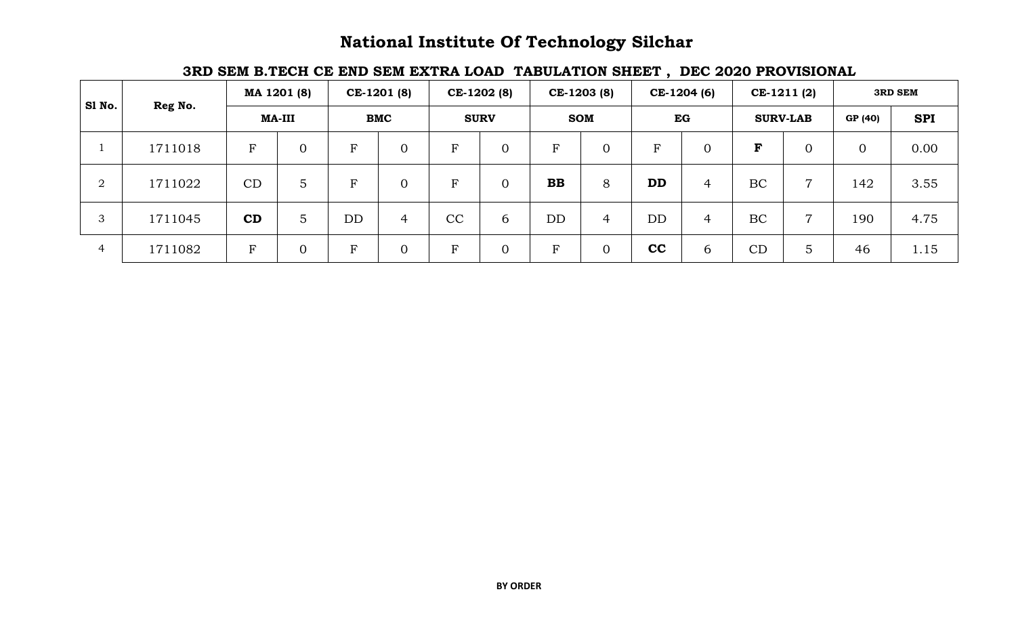## **National Institute Of Technology Silchar**

## **3RD SEM B.TECH CE END SEM EXTRA LOAD TABULATION SHEET , DEC 2020 PROVISIONAL**

| Sl No.         |         |             | MA 1201 (8)    |           | CE-1201 (8)    |    | CE-1202 (8)    |             | CE-1203 (8)    |           | CE-1204 (6)    |    | CE-1211 (2)     |                | <b>3RD SEM</b> |
|----------------|---------|-------------|----------------|-----------|----------------|----|----------------|-------------|----------------|-----------|----------------|----|-----------------|----------------|----------------|
|                | Reg No. |             | <b>MA-III</b>  |           | <b>BMC</b>     |    | <b>SURV</b>    |             | <b>SOM</b>     |           | EG             |    | <b>SURV-LAB</b> | GP (40)        | <b>SPI</b>     |
|                | 1711018 | $\rm F$     | $\overline{0}$ | ${\bf F}$ | $\overline{0}$ | F  | $\overline{0}$ | $\mathbf F$ | $\overline{0}$ | R         | $\overline{0}$ | F  |                 | $\overline{0}$ | 0.00           |
| $\overline{2}$ | 1711022 | CD          | 5              | ${\bf F}$ | $\overline{0}$ | F  | $\overline{0}$ | <b>BB</b>   | 8              | <b>DD</b> | $\overline{4}$ | BC | $\overline{ }$  | 142            | 3.55           |
| 3              | 1711045 | CD          | 5              | DD        | 4              | CC | 6              | DD          | $\overline{4}$ | DD        | $\overline{4}$ | BC | $\overline{ }$  | 190            | 4.75           |
| 4              | 1711082 | $\mathbf F$ | $\Omega$       | ${\bf F}$ | $\overline{0}$ | F  | $\overline{0}$ | $\mathbf F$ | $\overline{0}$ | cc        | 6              | CD | 5               | 46             | 1.15           |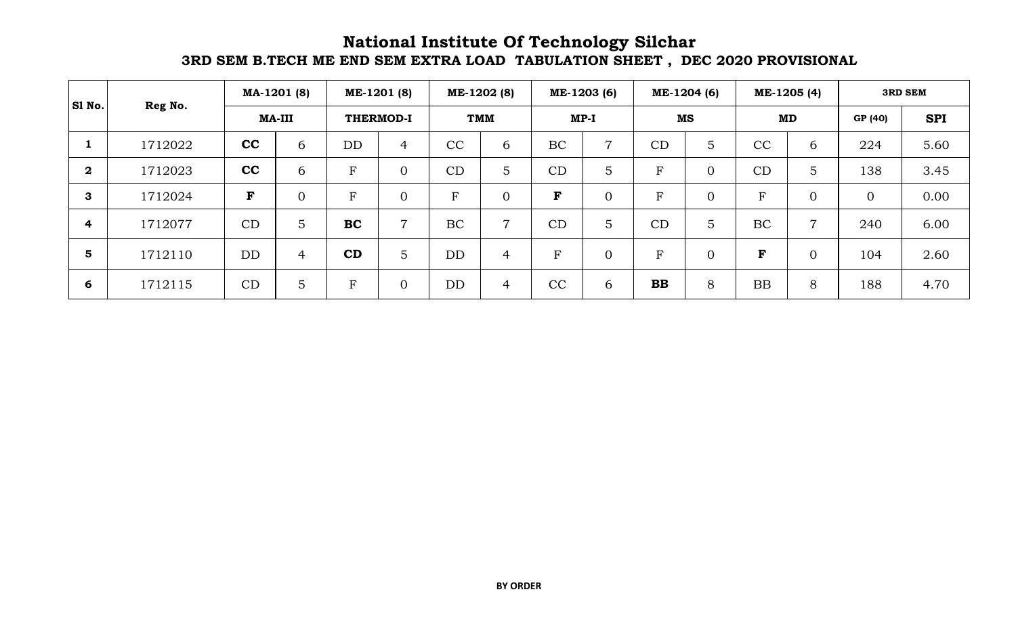## **National Institute Of Technology Silchar 3RD SEM B.TECH ME END SEM EXTRA LOAD TABULATION SHEET , DEC 2020 PROVISIONAL**

| SI No.       |         |             | MA-1201 (8)    |             | ME-1201 (8)      |           | ME-1202 (8)    |             | ME-1203 (6)    |              | ME-1204 (6)    |                | ME-1205 (4)    |                | <b>3RD SEM</b> |
|--------------|---------|-------------|----------------|-------------|------------------|-----------|----------------|-------------|----------------|--------------|----------------|----------------|----------------|----------------|----------------|
|              | Reg No. |             | <b>MA-III</b>  |             | <b>THERMOD-I</b> |           | <b>TMM</b>     |             | $MP-I$         |              | <b>MS</b>      |                | MD             | GP (40)        | <b>SPI</b>     |
| 1            | 1712022 | cc          | 6              | DD          | 4                | CC        | 6              | BC          | 7              | CD           | 5              | CC             | 6              | 224            | 5.60           |
| $\mathbf{2}$ | 1712023 | cc          | 6              | F           | $\overline{0}$   | CD        | 5              | CD          | 5              | $\mathbf F$  | $\Omega$       | CD             | 5              | 138            | 3.45           |
| 3            | 1712024 | $\mathbf F$ | $\overline{0}$ | F           | $\overline{0}$   | F         | $\overline{0}$ | $\mathbf F$ | $\overline{0}$ | F            | $\overline{0}$ | $\overline{F}$ | $\overline{0}$ | $\overline{0}$ | 0.00           |
| 4            | 1712077 | CD          | $\overline{5}$ | <b>BC</b>   | $\overline{ }$   | <b>BC</b> | $\overline{7}$ | CD          | 5              | CD           | 5              | BC             | 7              | 240            | 6.00           |
| 5            | 1712110 | <b>DD</b>   | $\overline{4}$ | CD          | 5                | DD        | $\overline{4}$ | ${\bf F}$   | $\overline{0}$ | $\mathbf{F}$ | $\overline{0}$ | F              | $\overline{0}$ | 104            | 2.60           |
| 6            | 1712115 | CD          | 5              | $\mathbf F$ | $\overline{0}$   | <b>DD</b> | $\overline{4}$ | CC          | 6              | <b>BB</b>    | 8              | <b>BB</b>      | 8              | 188            | 4.70           |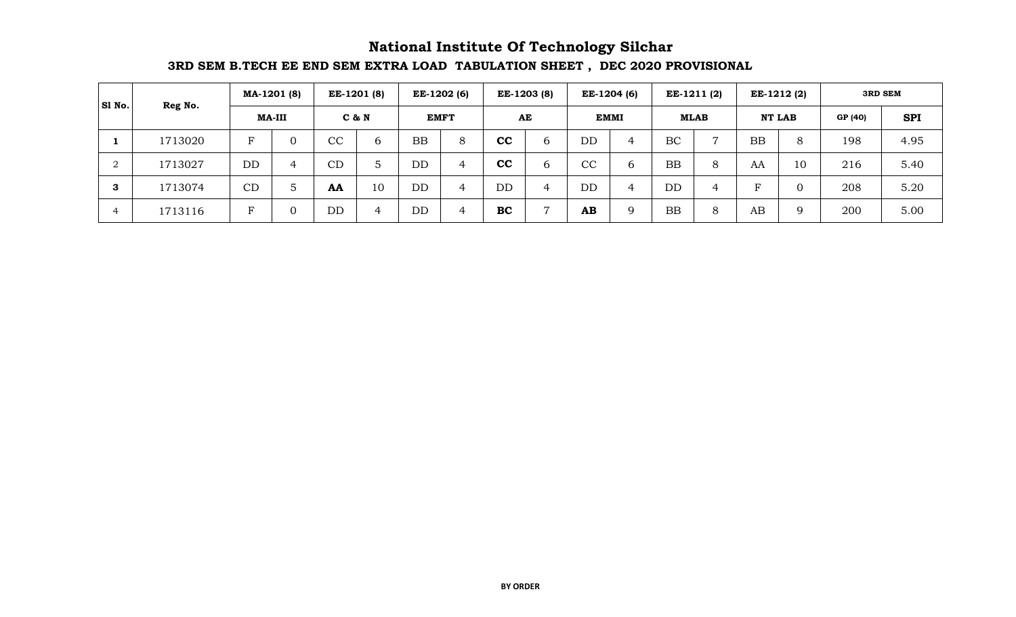## **3RD SEM B.TECH EE END SEM EXTRA LOAD TABULATION SHEET , DEC 2020 PROVISIONAL National Institute Of Technology Silchar**

| SI No.                     | Reg No. |    | MA-1201 (8)   |                        | <b>EE-1201 (8)</b> |           | EE-1202 (6) |           | EE-1203 (8) |           | EE-1204 (6) | EE-1211 (2) |                |              | EE-1212 (2)   |         | <b>3RD SEM</b> |
|----------------------------|---------|----|---------------|------------------------|--------------------|-----------|-------------|-----------|-------------|-----------|-------------|-------------|----------------|--------------|---------------|---------|----------------|
|                            |         |    | <b>MA-III</b> |                        | C & N              |           | <b>EMFT</b> |           | AE          |           | <b>EMMI</b> | <b>MLAB</b> |                |              | <b>NT LAB</b> | GP (40) | <b>SPI</b>     |
|                            | 1713020 | F  |               | $\overline{\text{cc}}$ | 6                  | <b>BB</b> | 8           | cc        | 6           | <b>DD</b> | 4           | BC          | $\mathbf{r}$   | <b>BB</b>    | 8             | 198     | 4.95           |
| $\Omega$<br>$\overline{a}$ | 1713027 | DD | 4             | СD                     |                    | DD        | 4           | cc        | 6           | CC        | 6           | <b>BB</b>   | 8              | AA           | 10            | 216     | 5.40           |
| 3                          | 1713074 | CD | 5             | AA                     | 10                 | DD        | 4           | DD        | 4           | <b>DD</b> | 4           | DD          | $\overline{4}$ | $\mathbf{F}$ |               | 208     | 5.20           |
| 4                          | 1713116 | F  |               | DD                     | 4                  | DD        | 4           | <b>BC</b> |             | AB        | $\mathbf Q$ | <b>BB</b>   | 8              | AB           | 9             | 200     | 5.00           |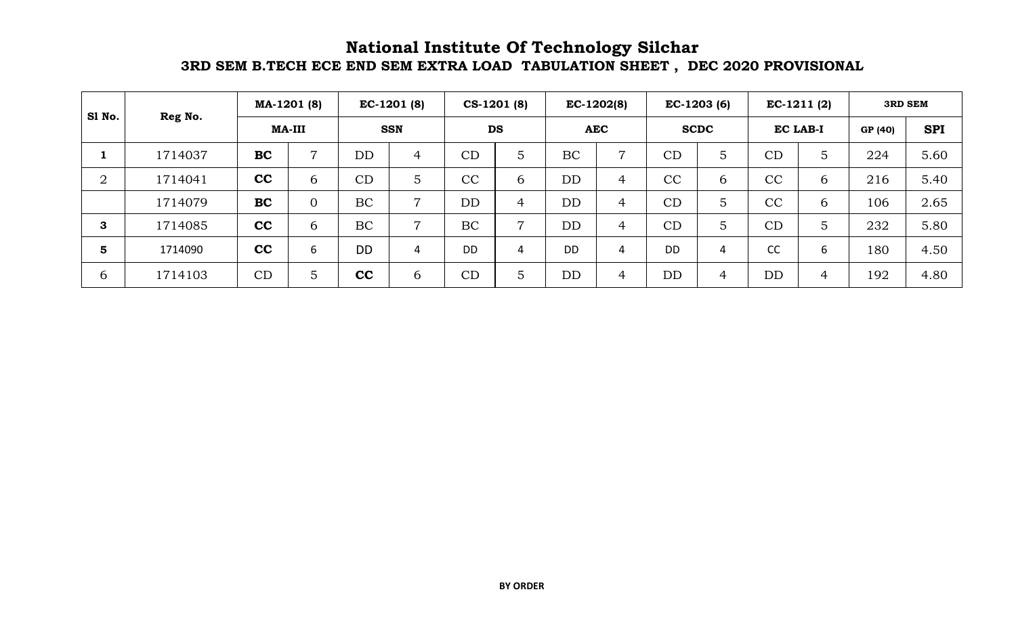## **3RD SEM B.TECH ECE END SEM EXTRA LOAD TABULATION SHEET , DEC 2020 PROVISIONAL National Institute Of Technology Silchar**

| S1 No.         |         |           | MA-1201 (8)    |           | $EC-1201(8)$   |           | $CS-1201(8)$   |           | $EC-1202(8)$   |           | $EC-1203(6)$   | $EC-1211(2)$    |   |         | <b>3RD SEM</b> |
|----------------|---------|-----------|----------------|-----------|----------------|-----------|----------------|-----------|----------------|-----------|----------------|-----------------|---|---------|----------------|
|                | Reg No. |           | <b>MA-III</b>  |           | <b>SSN</b>     |           | <b>DS</b>      |           | <b>AEC</b>     |           | <b>SCDC</b>    | <b>EC LAB-I</b> |   | GP (40) | <b>SPI</b>     |
|                | 1714037 | <b>BC</b> | $\overline{7}$ | <b>DD</b> | 4              | CD        | 5              | <b>BC</b> | $\overline{7}$ | CD        | 5              | CD              | 5 | 224     | 5.60           |
| $\overline{2}$ | 1714041 | cc        | 6              | CD        | 5              | CC        | 6              | <b>DD</b> | 4              | CC        | 6              | CC              | 6 | 216     | 5.40           |
|                | 1714079 | <b>BC</b> | $\Omega$       | <b>BC</b> | $\overline{7}$ | <b>DD</b> | 4              | <b>DD</b> | 4              | CD        | 5              | CC              | 6 | 106     | 2.65           |
| 3              | 1714085 | cc        | 6              | BC        | $\overline{7}$ | BC        | $\overline{ }$ | DD        | 4              | CD        | 5              | CD              | 5 | 232     | 5.80           |
| 5              | 1714090 | cc        | 6              | <b>DD</b> | 4              | <b>DD</b> | $\overline{4}$ | <b>DD</b> | 4              | <b>DD</b> | 4              | CC              | 6 | 180     | 4.50           |
| $\mathfrak b$  | 1714103 | CD        | 5              | cc        | 6              | CD        | 5              | <b>DD</b> | 4              | DD        | $\overline{4}$ | <b>DD</b>       | 4 | 192     | 4.80           |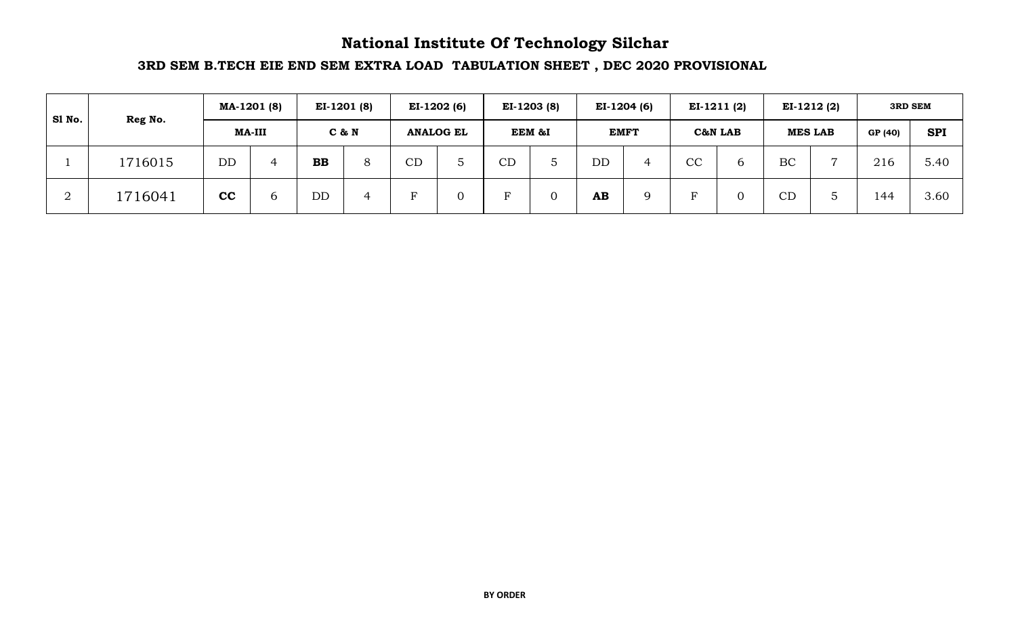## **National Institute Of Technology Silchar**

## **3RD SEM B.TECH EIE END SEM EXTRA LOAD TABULATION SHEET , DEC 2020 PROVISIONAL**

| Sl No. | Reg No. |           | MA-1201 (8) |           | $EI-1201(8)$ |          | $EI-1202(6)$     |    | EI-1203 (8) |    | EI-1204 (6) |              | $EI-1211(2)$ |           | $EI-1212(2)$   |         | <b>3RD SEM</b> |
|--------|---------|-----------|-------------|-----------|--------------|----------|------------------|----|-------------|----|-------------|--------------|--------------|-----------|----------------|---------|----------------|
|        |         |           | MA-III      |           | C & N        |          | <b>ANALOG EL</b> |    | EEM &I      |    | <b>EMFT</b> |              | C&N LAB      |           | <b>MES LAB</b> | GP (40) | <b>SPI</b>     |
|        | 1716015 | <b>DD</b> | 4           | <b>BB</b> | 8            | CD       |                  | CD |             | DD |             | $\cap$<br>UV | b            | BC        | $\overline{ }$ | 216     | 5.40           |
| ∠      | 1716041 | cc        | 6           | <b>DD</b> | 4            | $\Gamma$ |                  | ь  |             | AB |             |              |              | <b>CD</b> | $\circ$        | 144     | 3.60           |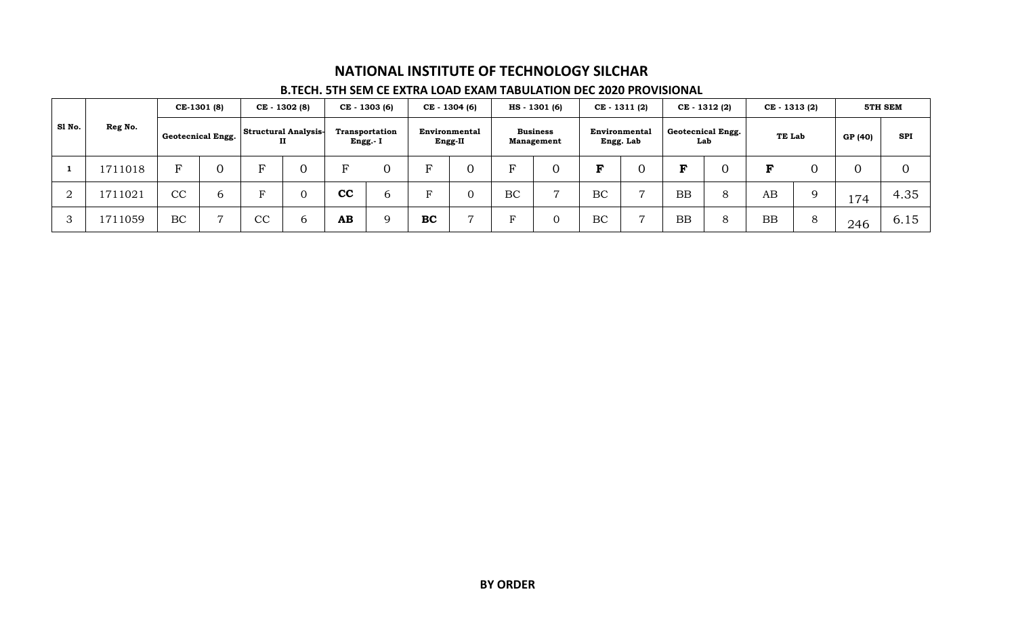#### **B.TECH. 5TH SEM CE EXTRA LOAD EXAM TABULATION DEC 2020 PROVISIONAL**

|        |         |           | CE-1301 (8)       |    | CE - 1302 (8)                    |    | CE - 1303 (6)             |    | CE - 1304 (6)                   |    | HS - 1301 (6)                        |    | $CE - 1311(2)$             |           | CE - 1312 (2)            | CE - 1313 (2) |         |         | 5TH SEM    |
|--------|---------|-----------|-------------------|----|----------------------------------|----|---------------------------|----|---------------------------------|----|--------------------------------------|----|----------------------------|-----------|--------------------------|---------------|---------|---------|------------|
| Sl No. | Reg No. |           | Geotecnical Engg. |    | <b>Structural Analysis-</b><br>п |    | Transportation<br>Engg.-I |    | <b>Environmental</b><br>Engg-II |    | <b>Business</b><br><b>Management</b> |    | Environmental<br>Engg. Lab |           | Geotecnical Engg.<br>Lab | TE Lab        |         | GP (40) | <b>SPI</b> |
|        | 1711018 | ь         | U                 | F  |                                  | 요  | $\overline{0}$            | F  |                                 |    |                                      | ъ  |                            | ъ         |                          |               |         |         |            |
| ∩<br>▵ | 1711021 | CC        | b                 | р  |                                  | cc | 6                         | F  |                                 | BC |                                      | BC | $\overline{ }$             | <b>BB</b> | 8                        | AB            |         | 174     | 4.35       |
| 3      | 1711059 | <b>BC</b> | $\overline{ }$    | CC | b                                | AB | $\mathbf Q$               | BC |                                 |    |                                      | BC | $\overline{a}$             | <b>BB</b> | 8                        | BB            | $\circ$ | 246     | 6.15       |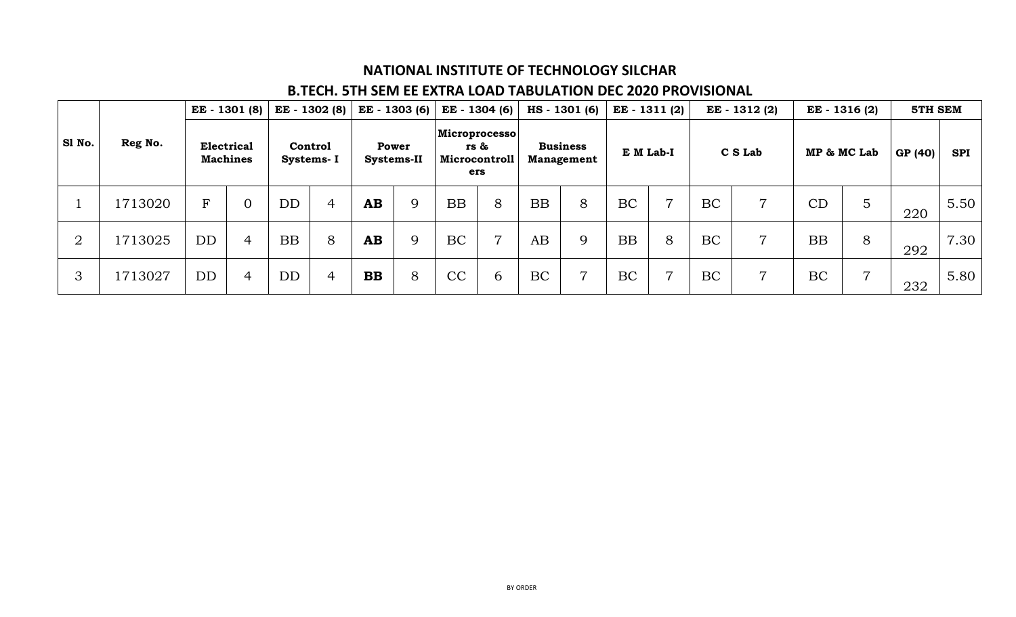## **B.TECH. 5TH SEM EE EXTRA LOAD TABULATION DEC 2020 PROVISIONAL**

|                |         | EE - 1301 (8)                        |                |                              |                | EE - 1302 (8) EE - 1303 (6) |   | EE - 1304 (6)                                        |   | HS - 1301 (6)                        |                | EE - 1311 (2) |   | EE - 1312 (2) |                | EE - 1316 (2) |                | 5TH SEM |            |
|----------------|---------|--------------------------------------|----------------|------------------------------|----------------|-----------------------------|---|------------------------------------------------------|---|--------------------------------------|----------------|---------------|---|---------------|----------------|---------------|----------------|---------|------------|
| Sl No.         | Reg No. | <b>Electrical</b><br><b>Machines</b> |                | <b>Control</b><br>Systems- I |                | Power<br>Systems-II         |   | Microprocesso<br>rs &<br><b>Microcontroll</b><br>ers |   | <b>Business</b><br><b>Management</b> |                | E M Lab-I     |   | C S Lab       |                | MP & MC Lab   |                | GP (40) | <b>SPI</b> |
|                | 1713020 | $\mathbf{F}$                         | $\overline{0}$ | <b>DD</b>                    | $\overline{4}$ | $\mathbf{A}\mathbf{B}$      | 9 | BB                                                   | 8 | <b>BB</b>                            | 8              | BC            | 7 | <b>BC</b>     | $\overline{7}$ | CD            | 5              | 220     | 5.50       |
| $\overline{2}$ | 1713025 | <b>DD</b>                            | $\overline{4}$ | <b>BB</b>                    | 8              | AB                          | 9 | <b>BC</b>                                            | 7 | AB                                   | 9              | <b>BB</b>     | 8 | <b>BC</b>     | 7              | <b>BB</b>     | 8              | 292     | 7.30       |
| 3              | 1713027 | <b>DD</b>                            | 4              | <b>DD</b>                    | $\overline{4}$ | <b>BB</b>                   | 8 | CC                                                   | 6 | <b>BC</b>                            | $\overline{ }$ | <b>BC</b>     | 7 | <b>BC</b>     | 7              | BC            | $\overline{ }$ | 232     | 5.80       |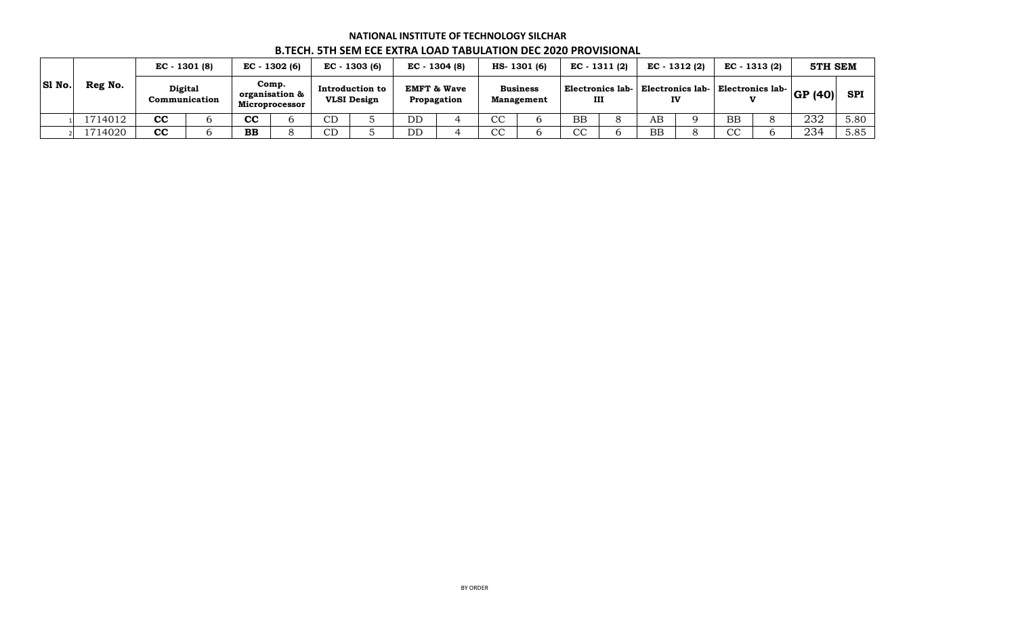#### **GP (40) SPI** 1 1714012 **CC** 6 **CC** 6 CD 5 DD 4 CC 6 BB 8 AB 9 BB 8 232 5.80 2 1714020 **CC** 6 **BB** 8 CD 5 DD 4 CC 6 CC 6 BB 8 CC 6 234 5.85 **B.TECH. 5TH SEM ECE EXTRA LOAD TABULATION DEC 2020 PROVISIONAL HS- 1301 (6) EC - 1311 (2) 5TH SEM Sl No. Reg No. EC - 1301 (8) EC - 1302 (6) EC - 1303 (6) Digital Communication Comp. organisation & Microprocessor Introduction to VLSI Design EMFT & Wave Propagation Business Management Electronics lab-III EC - 1304 (8) Electronics lab-IV Electronics lab-V EC - 1312 (2) EC - 1313 (2)**

# **NATIONAL INSTITUTE OF TECHNOLOGY SILCHAR**